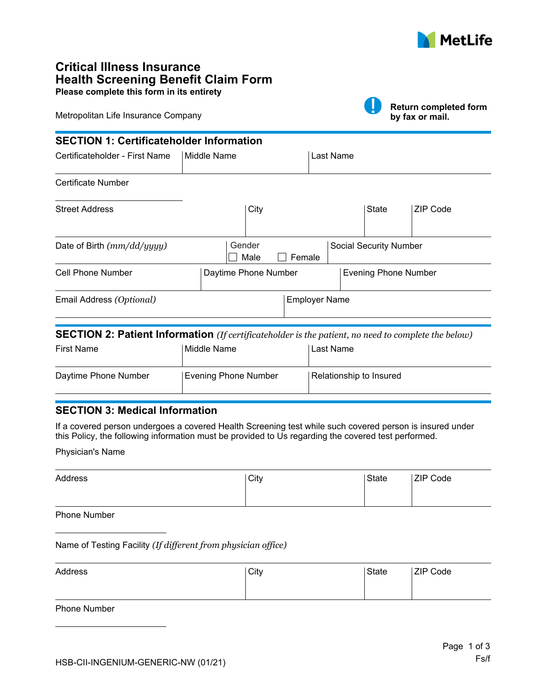

# **Critical Illness Insurance Health Screening Benefit Claim Form Please complete this form in its entirety**

Metropolitan Life Insurance Company

|  | P. |
|--|----|

**Return completed form by fax or mail.**

| <b>SECTION 1: Certificateholder Information</b> |           |                                                        |
|-------------------------------------------------|-----------|--------------------------------------------------------|
| Middle Name                                     | Last Name |                                                        |
|                                                 |           |                                                        |
| City                                            |           | State<br><b>ZIP Code</b>                               |
| Gender<br>Male                                  |           | <b>Social Security Number</b>                          |
|                                                 |           | <b>Evening Phone Number</b>                            |
|                                                 |           |                                                        |
|                                                 |           | Female<br>Daytime Phone Number<br><b>Employer Name</b> |

#### **SECTION 2: Patient Information** *(If certificateholder is the patient, no need to complete the below)*

| <b>First Name</b>    | Middle Name          | l Last Name             |
|----------------------|----------------------|-------------------------|
| Daytime Phone Number | Evening Phone Number | Relationship to Insured |

## **SECTION 3: Medical Information**

If a covered person undergoes a covered Health Screening test while such covered person is insured under this Policy, the following information must be provided to Us regarding the covered test performed.

Physician's Name

| Address | City | State | <b>ZIP Code</b> |
|---------|------|-------|-----------------|
|         |      |       |                 |

Phone Number

Name of Testing Facility *(If different from physician office)*

| Address | City | State | <b>ZIP Code</b> |
|---------|------|-------|-----------------|
|         |      |       |                 |

Phone Number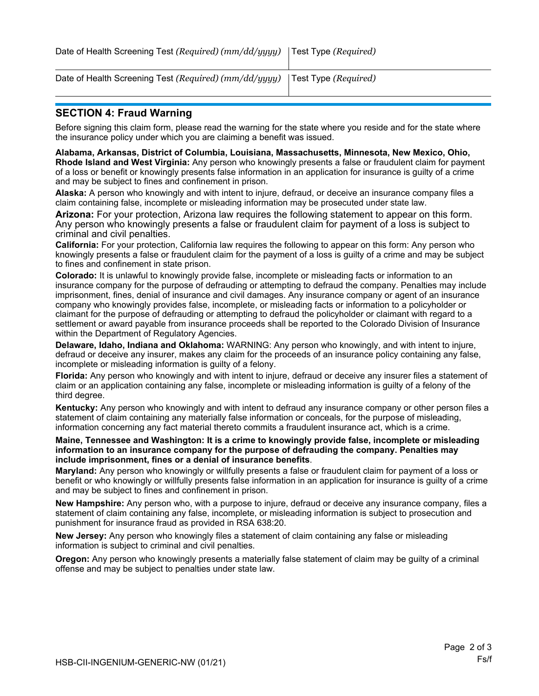| Date of Health Screening Test ( $Required$ ) (mm/dd/ $yyy$ y) $ $ Test Type ( $Required$ ) |  |
|--------------------------------------------------------------------------------------------|--|
|                                                                                            |  |

| Date of Health Screening Test (Required) (mm/dd/yyyy)   Test Type (Required) |  |
|------------------------------------------------------------------------------|--|

### **SECTION 4: Fraud Warning**

Before signing this claim form, please read the warning for the state where you reside and for the state where the insurance policy under which you are claiming a benefit was issued.

**Alabama, Arkansas, District of Columbia, Louisiana, Massachusetts, Minnesota, New Mexico, Ohio, Rhode Island and West Virginia:** Any person who knowingly presents a false or fraudulent claim for payment of a loss or benefit or knowingly presents false information in an application for insurance is guilty of a crime and may be subject to fines and confinement in prison.

**Alaska:** A person who knowingly and with intent to injure, defraud, or deceive an insurance company files a claim containing false, incomplete or misleading information may be prosecuted under state law.

**Arizona:** For your protection, Arizona law requires the following statement to appear on this form. Any person who knowingly presents a false or fraudulent claim for payment of a loss is subject to criminal and civil penalties.

**California:** For your protection, California law requires the following to appear on this form: Any person who knowingly presents a false or fraudulent claim for the payment of a loss is guilty of a crime and may be subject to fines and confinement in state prison.

**Colorado:** It is unlawful to knowingly provide false, incomplete or misleading facts or information to an insurance company for the purpose of defrauding or attempting to defraud the company. Penalties may include imprisonment, fines, denial of insurance and civil damages. Any insurance company or agent of an insurance company who knowingly provides false, incomplete, or misleading facts or information to a policyholder or claimant for the purpose of defrauding or attempting to defraud the policyholder or claimant with regard to a settlement or award payable from insurance proceeds shall be reported to the Colorado Division of Insurance within the Department of Regulatory Agencies.

**Delaware, Idaho, Indiana and Oklahoma:** WARNING: Any person who knowingly, and with intent to injure, defraud or deceive any insurer, makes any claim for the proceeds of an insurance policy containing any false, incomplete or misleading information is guilty of a felony.

**Florida:** Any person who knowingly and with intent to injure, defraud or deceive any insurer files a statement of claim or an application containing any false, incomplete or misleading information is guilty of a felony of the third degree.

**Kentucky:** Any person who knowingly and with intent to defraud any insurance company or other person files a statement of claim containing any materially false information or conceals, for the purpose of misleading, information concerning any fact material thereto commits a fraudulent insurance act, which is a crime.

**Maine, Tennessee and Washington: It is a crime to knowingly provide false, incomplete or misleading information to an insurance company for the purpose of defrauding the company. Penalties may include imprisonment, fines or a denial of insurance benefits**.

**Maryland:** Any person who knowingly or willfully presents a false or fraudulent claim for payment of a loss or benefit or who knowingly or willfully presents false information in an application for insurance is guilty of a crime and may be subject to fines and confinement in prison.

**New Hampshire:** Any person who, with a purpose to injure, defraud or deceive any insurance company, files a statement of claim containing any false, incomplete, or misleading information is subject to prosecution and punishment for insurance fraud as provided in RSA 638:20.

**New Jersey:** Any person who knowingly files a statement of claim containing any false or misleading information is subject to criminal and civil penalties.

**Oregon:** Any person who knowingly presents a materially false statement of claim may be guilty of a criminal offense and may be subject to penalties under state law.